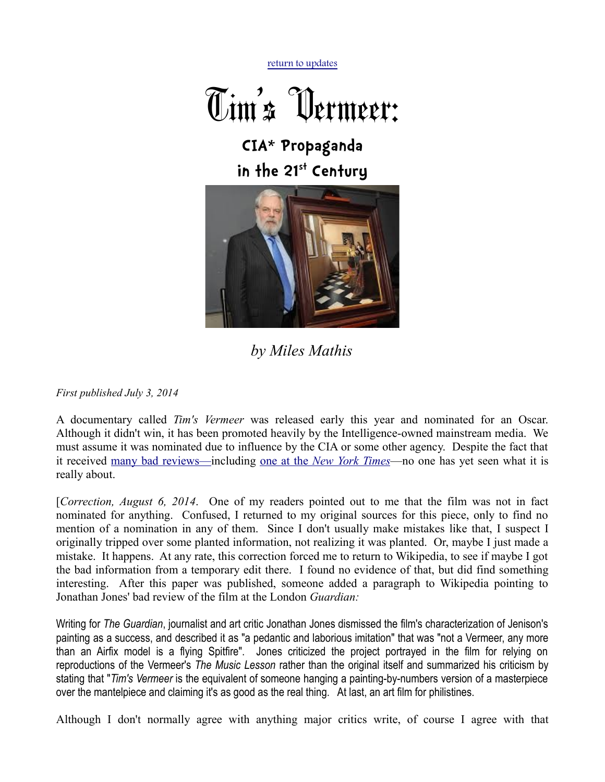[return to updates](http://mileswmathis.com/updates.html)



**CIA\* Propaganda in the 21st Century**



## *by Miles Mathis*

*First published July 3, 2014*

A documentary called *Tim's Vermeer* was released early this year and nominated for an Oscar. Although it didn't win, it has been promoted heavily by the Intelligence-owned mainstream media. We must assume it was nominated due to influence by the CIA or some other agency. Despite the fact that it received [many bad reviews—i](http://www.jsonline.com/entertainment/movies/tims-vermeer-takes-the-artist-out-of-art-making-b99215307z1-250188121.html)ncluding [one at the](http://www.nytimes.com/2014/01/31/movies/tims-vermeer-chronicles-an-attempt-to-make-one.html?_r=0) *[New York Times](http://www.nytimes.com/2014/01/31/movies/tims-vermeer-chronicles-an-attempt-to-make-one.html?_r=0)*—no one has yet seen what it is really about.

[*Correction, August 6, 2014*. One of my readers pointed out to me that the film was not in fact nominated for anything. Confused, I returned to my original sources for this piece, only to find no mention of a nomination in any of them. Since I don't usually make mistakes like that, I suspect I originally tripped over some planted information, not realizing it was planted. Or, maybe I just made a mistake. It happens. At any rate, this correction forced me to return to Wikipedia, to see if maybe I got the bad information from a temporary edit there. I found no evidence of that, but did find something interesting. After this paper was published, someone added a paragraph to Wikipedia pointing to Jonathan Jones' bad review of the film at the London *Guardian:*

Writing for *The Guardian*, journalist and art critic Jonathan Jones dismissed the film's characterization of Jenison's painting as a success, and described it as "a pedantic and laborious imitation" that was "not a Vermeer, any more than an Airfix model is a flying Spitfire". Jones criticized the project portrayed in the film for relying on reproductions of the Vermeer's *The Music Lesson* rather than the original itself and summarized his criticism by stating that "*Tim's Vermeer* is the equivalent of someone hanging a painting-by-numbers version of a masterpiece over the mantelpiece and claiming it's as good as the real thing. At last, an art film for philistines.

Although I don't normally agree with anything major critics write, of course I agree with that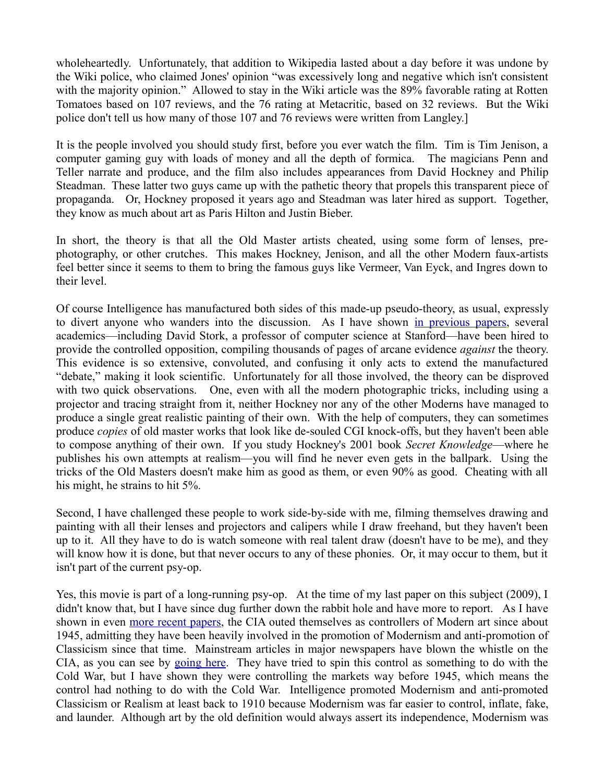wholeheartedly. Unfortunately, that addition to Wikipedia lasted about a day before it was undone by the Wiki police, who claimed Jones' opinion "was excessively long and negative which isn't consistent with the majority opinion." Allowed to stay in the Wiki article was the 89% favorable rating at Rotten Tomatoes based on 107 reviews, and the 76 rating at Metacritic, based on 32 reviews. But the Wiki police don't tell us how many of those 107 and 76 reviews were written from Langley.]

It is the people involved you should study first, before you ever watch the film. Tim is Tim Jenison, a computer gaming guy with loads of money and all the depth of formica. The magicians Penn and Teller narrate and produce, and the film also includes appearances from David Hockney and Philip Steadman. These latter two guys came up with the pathetic theory that propels this transparent piece of propaganda. Or, Hockney proposed it years ago and Steadman was later hired as support. Together, they know as much about art as Paris Hilton and Justin Bieber.

In short, the theory is that all the Old Master artists cheated, using some form of lenses, prephotography, or other crutches. This makes Hockney, Jenison, and all the other Modern faux-artists feel better since it seems to them to bring the famous guys like Vermeer, Van Eyck, and Ingres down to their level.

Of course Intelligence has manufactured both sides of this made-up pseudo-theory, as usual, expressly to divert anyone who wanders into the discussion. As I have shown [in previous papers,](http://mileswmathis.com/hock2.html) several academics—including David Stork, a professor of computer science at Stanford—have been hired to provide the controlled opposition, compiling thousands of pages of arcane evidence *against* the theory. This evidence is so extensive, convoluted, and confusing it only acts to extend the manufactured "debate," making it look scientific. Unfortunately for all those involved, the theory can be disproved with two quick observations. One, even with all the modern photographic tricks, including using a projector and tracing straight from it, neither Hockney nor any of the other Moderns have managed to produce a single great realistic painting of their own. With the help of computers, they can sometimes produce *copies* of old master works that look like de-souled CGI knock-offs, but they haven't been able to compose anything of their own. If you study Hockney's 2001 book *Secret Knowledge*—where he publishes his own attempts at realism—you will find he never even gets in the ballpark. Using the tricks of the Old Masters doesn't make him as good as them, or even 90% as good. Cheating with all his might, he strains to hit 5%.

Second, I have challenged these people to work side-by-side with me, filming themselves drawing and painting with all their lenses and projectors and calipers while I draw freehand, but they haven't been up to it. All they have to do is watch someone with real talent draw (doesn't have to be me), and they will know how it is done, but that never occurs to any of these phonies. Or, it may occur to them, but it isn't part of the current psy-op.

Yes, this movie is part of a long-running psy-op. At the time of my last paper on this subject (2009), I didn't know that, but I have since dug further down the rabbit hole and have more to report. As I have shown in even [more recent papers,](http://mileswmathis.com/papa.pdf) the CIA outed themselves as controllers of Modern art since about 1945, admitting they have been heavily involved in the promotion of Modernism and anti-promotion of Classicism since that time. Mainstream articles in major newspapers have blown the whistle on the CIA, as you can see by [going here.](http://www.independent.co.uk/news/world/modern-art-was-cia-weapon-1578808.html) They have tried to spin this control as something to do with the Cold War, but I have shown they were controlling the markets way before 1945, which means the control had nothing to do with the Cold War. Intelligence promoted Modernism and anti-promoted Classicism or Realism at least back to 1910 because Modernism was far easier to control, inflate, fake, and launder. Although art by the old definition would always assert its independence, Modernism was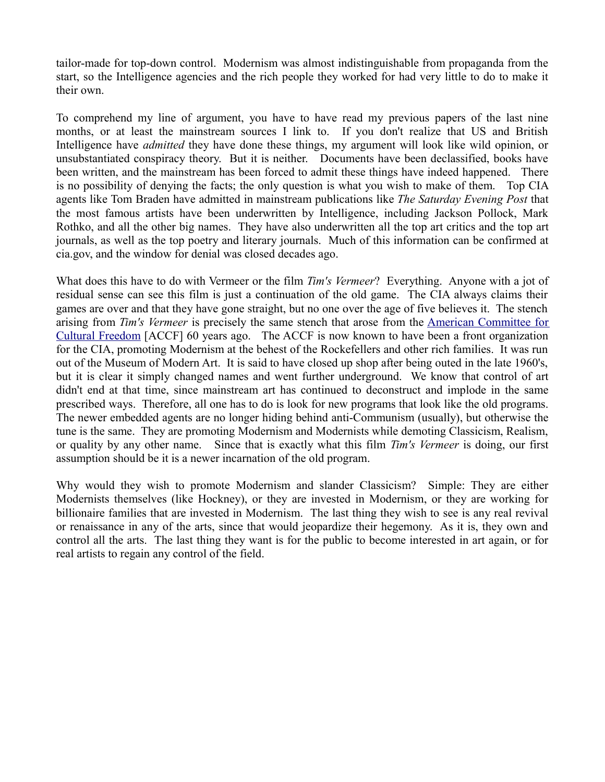tailor-made for top-down control. Modernism was almost indistinguishable from propaganda from the start, so the Intelligence agencies and the rich people they worked for had very little to do to make it their own.

To comprehend my line of argument, you have to have read my previous papers of the last nine months, or at least the mainstream sources I link to. If you don't realize that US and British Intelligence have *admitted* they have done these things, my argument will look like wild opinion, or unsubstantiated conspiracy theory. But it is neither. Documents have been declassified, books have been written, and the mainstream has been forced to admit these things have indeed happened. There is no possibility of denying the facts; the only question is what you wish to make of them. Top CIA agents like Tom Braden have admitted in mainstream publications like *The Saturday Evening Post* that the most famous artists have been underwritten by Intelligence, including Jackson Pollock, Mark Rothko, and all the other big names. They have also underwritten all the top art critics and the top art journals, as well as the top poetry and literary journals. Much of this information can be confirmed at cia.gov, and the window for denial was closed decades ago.

What does this have to do with Vermeer or the film *Tim's Vermeer*? Everything. Anyone with a jot of residual sense can see this film is just a continuation of the old game. The CIA always claims their games are over and that they have gone straight, but no one over the age of five believes it. The stench arising from *Tim's Vermeer* is precisely the same stench that arose from the [American Committee for](http://en.wikipedia.org/wiki/American_Committee_for_Cultural_Freedom) [Cultural Freedom](http://en.wikipedia.org/wiki/American_Committee_for_Cultural_Freedom) [ACCF] 60 years ago. The ACCF is now known to have been a front organization for the CIA, promoting Modernism at the behest of the Rockefellers and other rich families. It was run out of the Museum of Modern Art. It is said to have closed up shop after being outed in the late 1960's, but it is clear it simply changed names and went further underground. We know that control of art didn't end at that time, since mainstream art has continued to deconstruct and implode in the same prescribed ways. Therefore, all one has to do is look for new programs that look like the old programs. The newer embedded agents are no longer hiding behind anti-Communism (usually), but otherwise the tune is the same. They are promoting Modernism and Modernists while demoting Classicism, Realism, or quality by any other name. Since that is exactly what this film *Tim's Vermeer* is doing, our first assumption should be it is a newer incarnation of the old program.

Why would they wish to promote Modernism and slander Classicism? Simple: They are either Modernists themselves (like Hockney), or they are invested in Modernism, or they are working for billionaire families that are invested in Modernism. The last thing they wish to see is any real revival or renaissance in any of the arts, since that would jeopardize their hegemony. As it is, they own and control all the arts. The last thing they want is for the public to become interested in art again, or for real artists to regain any control of the field.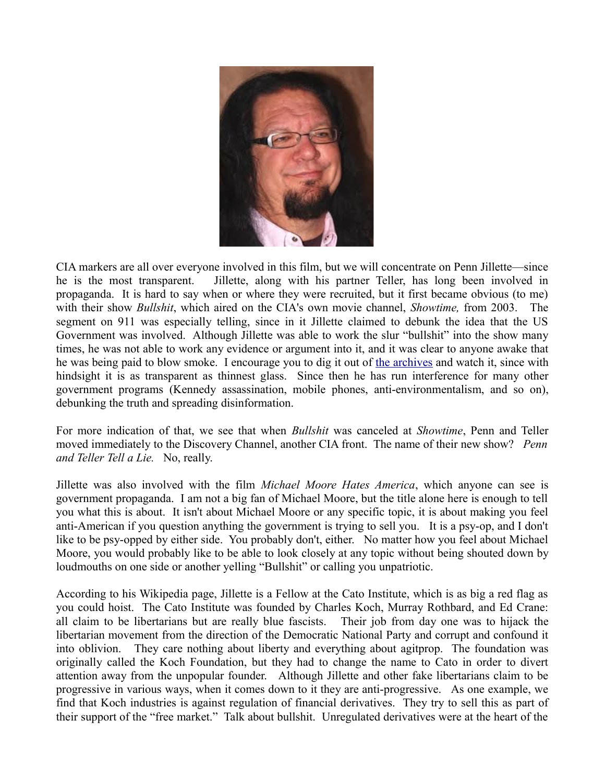

CIA markers are all over everyone involved in this film, but we will concentrate on Penn Jillette—since he is the most transparent. Jillette, along with his partner Teller, has long been involved in propaganda. It is hard to say when or where they were recruited, but it first became obvious (to me) with their show *Bullshit*, which aired on the CIA's own movie channel, *Showtime,* from 2003. The segment on 911 was especially telling, since in it Jillette claimed to debunk the idea that the US Government was involved. Although Jillette was able to work the slur "bullshit" into the show many times, he was not able to work any evidence or argument into it, and it was clear to anyone awake that he was being paid to blow smoke. I encourage you to dig it out of [the archives](http://www.youtube.com/watch?v=DLtQCaprm0w) and watch it, since with hindsight it is as transparent as thinnest glass. Since then he has run interference for many other government programs (Kennedy assassination, mobile phones, anti-environmentalism, and so on), debunking the truth and spreading disinformation.

For more indication of that, we see that when *Bullshit* was canceled at *Showtime*, Penn and Teller moved immediately to the Discovery Channel, another CIA front. The name of their new show? *Penn and Teller Tell a Lie.* No, really.

Jillette was also involved with the film *Michael Moore Hates America*, which anyone can see is government propaganda. I am not a big fan of Michael Moore, but the title alone here is enough to tell you what this is about. It isn't about Michael Moore or any specific topic, it is about making you feel anti-American if you question anything the government is trying to sell you. It is a psy-op, and I don't like to be psy-opped by either side. You probably don't, either. No matter how you feel about Michael Moore, you would probably like to be able to look closely at any topic without being shouted down by loudmouths on one side or another yelling "Bullshit" or calling you unpatriotic.

According to his Wikipedia page, Jillette is a Fellow at the Cato Institute, which is as big a red flag as you could hoist. The Cato Institute was founded by Charles Koch, Murray Rothbard, and Ed Crane: all claim to be libertarians but are really blue fascists. Their job from day one was to hijack the libertarian movement from the direction of the Democratic National Party and corrupt and confound it into oblivion. They care nothing about liberty and everything about agitprop. The foundation was originally called the Koch Foundation, but they had to change the name to Cato in order to divert attention away from the unpopular founder. Although Jillette and other fake libertarians claim to be progressive in various ways, when it comes down to it they are anti-progressive. As one example, we find that Koch industries is against regulation of financial derivatives. They try to sell this as part of their support of the "free market." Talk about bullshit. Unregulated derivatives were at the heart of the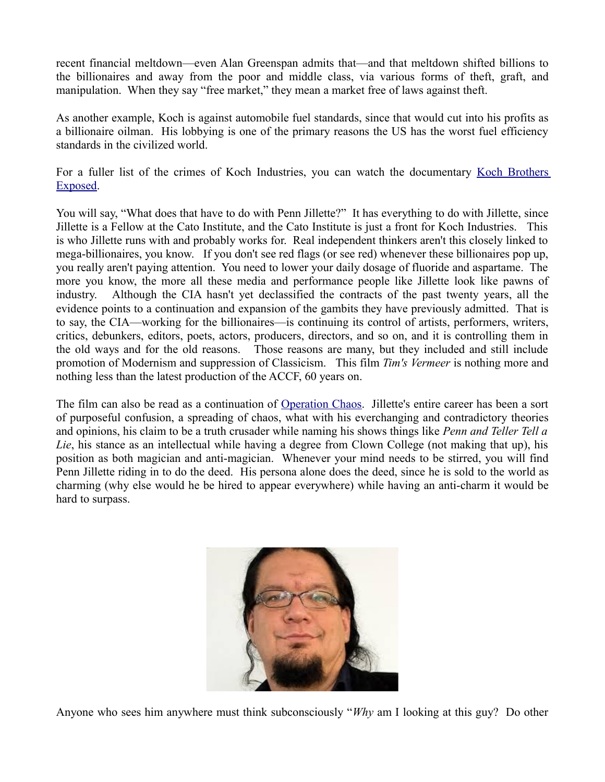recent financial meltdown—even Alan Greenspan admits that—and that meltdown shifted billions to the billionaires and away from the poor and middle class, via various forms of theft, graft, and manipulation. When they say "free market," they mean a market free of laws against theft.

As another example, Koch is against automobile fuel standards, since that would cut into his profits as a billionaire oilman. His lobbying is one of the primary reasons the US has the worst fuel efficiency standards in the civilized world.

For a fuller list of the crimes of Koch Industries, you can watch the documentary [Koch Brothers](http://www.bravenewfilms.org/koch2014) [Exposed.](http://www.bravenewfilms.org/koch2014)

You will say, "What does that have to do with Penn Jillette?" It has everything to do with Jillette, since Jillette is a Fellow at the Cato Institute, and the Cato Institute is just a front for Koch Industries. This is who Jillette runs with and probably works for. Real independent thinkers aren't this closely linked to mega-billionaires, you know. If you don't see red flags (or see red) whenever these billionaires pop up, you really aren't paying attention. You need to lower your daily dosage of fluoride and aspartame. The more you know, the more all these media and performance people like Jillette look like pawns of industry. Although the CIA hasn't yet declassified the contracts of the past twenty years, all the evidence points to a continuation and expansion of the gambits they have previously admitted. That is to say, the CIA—working for the billionaires—is continuing its control of artists, performers, writers, critics, debunkers, editors, poets, actors, producers, directors, and so on, and it is controlling them in the old ways and for the old reasons. Those reasons are many, but they included and still include promotion of Modernism and suppression of Classicism. This film *Tim's Vermeer* is nothing more and nothing less than the latest production of the ACCF, 60 years on.

The film can also be read as a continuation of [Operation Chaos.](http://en.wikipedia.org/wiki/Operation_CHAOS) Jillette's entire career has been a sort of purposeful confusion, a spreading of chaos, what with his everchanging and contradictory theories and opinions, his claim to be a truth crusader while naming his shows things like *Penn and Teller Tell a Lie*, his stance as an intellectual while having a degree from Clown College (not making that up), his position as both magician and anti-magician. Whenever your mind needs to be stirred, you will find Penn Jillette riding in to do the deed. His persona alone does the deed, since he is sold to the world as charming (why else would he be hired to appear everywhere) while having an anti-charm it would be hard to surpass.



Anyone who sees him anywhere must think subconsciously "*Why* am I looking at this guy? Do other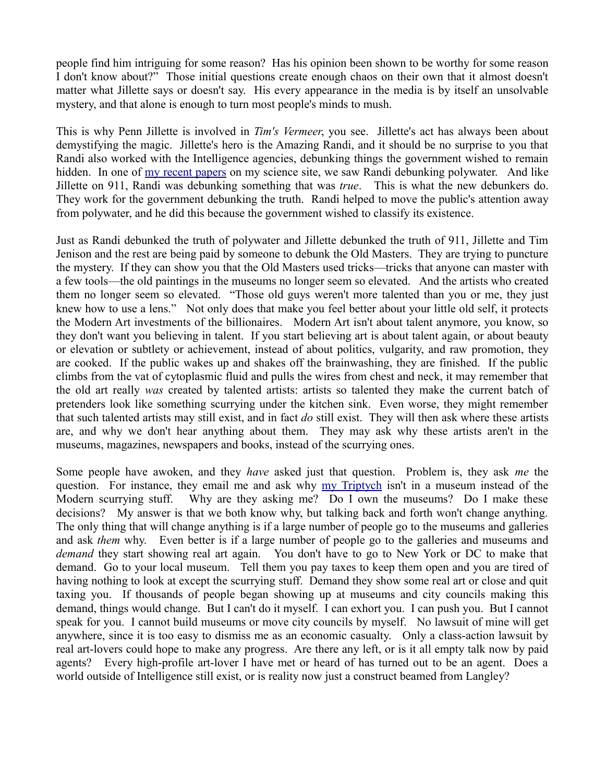people find him intriguing for some reason? Has his opinion been shown to be worthy for some reason I don't know about?" Those initial questions create enough chaos on their own that it almost doesn't matter what Jillette says or doesn't say. His every appearance in the media is by itself an unsolvable mystery, and that alone is enough to turn most people's minds to mush.

This is why Penn Jillette is involved in *Tim's Vermeer*, you see. Jillette's act has always been about demystifying the magic. Jillette's hero is the Amazing Randi, and it should be no surprise to you that Randi also worked with the Intelligence agencies, debunking things the government wished to remain hidden. In one of [my recent papers](http://milesmathis.com/poll2.pdf) on my science site, we saw Randi debunking polywater. And like Jillette on 911, Randi was debunking something that was *true*. This is what the new debunkers do. They work for the government debunking the truth. Randi helped to move the public's attention away from polywater, and he did this because the government wished to classify its existence.

Just as Randi debunked the truth of polywater and Jillette debunked the truth of 911, Jillette and Tim Jenison and the rest are being paid by someone to debunk the Old Masters. They are trying to puncture the mystery. If they can show you that the Old Masters used tricks—tricks that anyone can master with a few tools—the old paintings in the museums no longer seem so elevated. And the artists who created them no longer seem so elevated. "Those old guys weren't more talented than you or me, they just knew how to use a lens." Not only does that make you feel better about your little old self, it protects the Modern Art investments of the billionaires. Modern Art isn't about talent anymore, you know, so they don't want you believing in talent. If you start believing art is about talent again, or about beauty or elevation or subtlety or achievement, instead of about politics, vulgarity, and raw promotion, they are cooked. If the public wakes up and shakes off the brainwashing, they are finished. If the public climbs from the vat of cytoplasmic fluid and pulls the wires from chest and neck, it may remember that the old art really *was* created by talented artists: artists so talented they make the current batch of pretenders look like something scurrying under the kitchen sink. Even worse, they might remember that such talented artists may still exist, and in fact *do* still exist. They will then ask where these artists are, and why we don't hear anything about them. They may ask why these artists aren't in the museums, magazines, newspapers and books, instead of the scurrying ones.

Some people have awoken, and they *have* asked just that question. Problem is, they ask *me* the question. For instance, they email me and ask why [my Triptych](http://mileswmathis.com/triptych1.html) isn't in a museum instead of the Modern scurrying stuff. Why are they asking me? Do I own the museums? Do I make these decisions? My answer is that we both know why, but talking back and forth won't change anything. The only thing that will change anything is if a large number of people go to the museums and galleries and ask *them* why. Even better is if a large number of people go to the galleries and museums and *demand* they start showing real art again. You don't have to go to New York or DC to make that demand. Go to your local museum. Tell them you pay taxes to keep them open and you are tired of having nothing to look at except the scurrying stuff. Demand they show some real art or close and quit taxing you. If thousands of people began showing up at museums and city councils making this demand, things would change. But I can't do it myself. I can exhort you. I can push you. But I cannot speak for you. I cannot build museums or move city councils by myself. No lawsuit of mine will get anywhere, since it is too easy to dismiss me as an economic casualty. Only a class-action lawsuit by real art-lovers could hope to make any progress. Are there any left, or is it all empty talk now by paid agents? Every high-profile art-lover I have met or heard of has turned out to be an agent. Does a world outside of Intelligence still exist, or is reality now just a construct beamed from Langley?